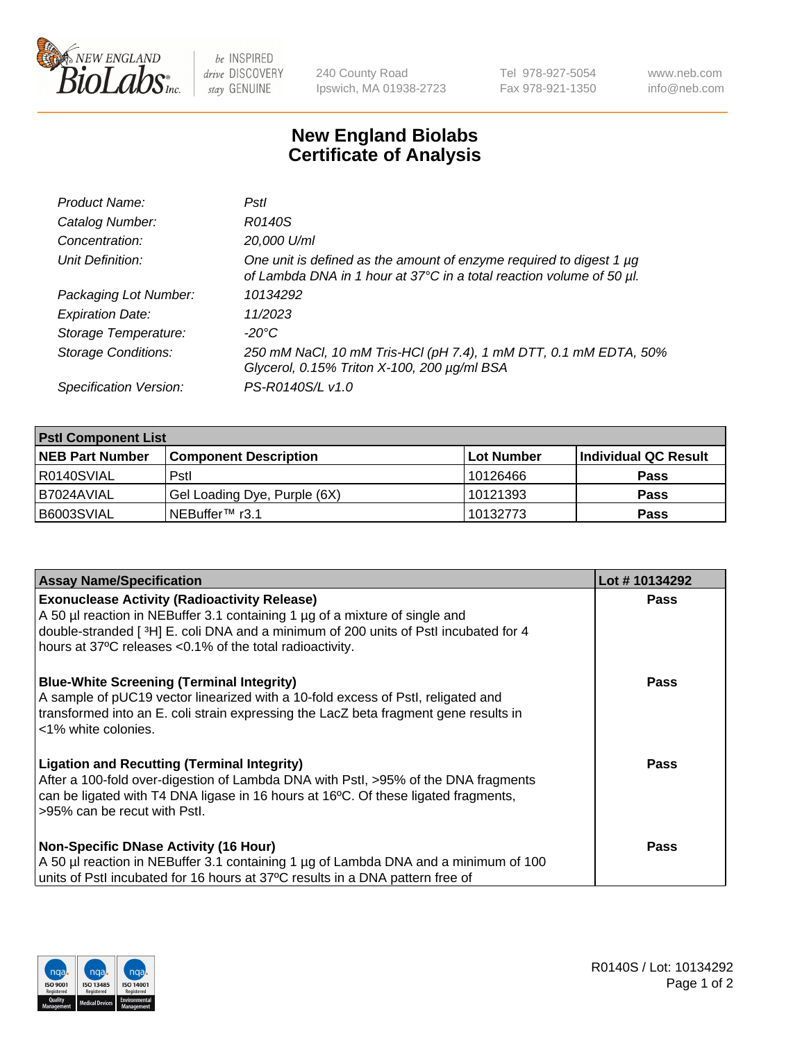

be INSPIRED drive DISCOVERY stay GENUINE

240 County Road Ipswich, MA 01938-2723 Tel 978-927-5054 Fax 978-921-1350 www.neb.com info@neb.com

## **New England Biolabs Certificate of Analysis**

| Product Name:              | Pstl                                                                                                                                        |
|----------------------------|---------------------------------------------------------------------------------------------------------------------------------------------|
| Catalog Number:            | R0140S                                                                                                                                      |
| Concentration:             | 20,000 U/ml                                                                                                                                 |
| Unit Definition:           | One unit is defined as the amount of enzyme required to digest 1 µg<br>of Lambda DNA in 1 hour at 37°C in a total reaction volume of 50 µl. |
| Packaging Lot Number:      | 10134292                                                                                                                                    |
| <b>Expiration Date:</b>    | 11/2023                                                                                                                                     |
| Storage Temperature:       | -20°C                                                                                                                                       |
| <b>Storage Conditions:</b> | 250 mM NaCl, 10 mM Tris-HCl (pH 7.4), 1 mM DTT, 0.1 mM EDTA, 50%<br>Glycerol, 0.15% Triton X-100, 200 µg/ml BSA                             |
| Specification Version:     | PS-R0140S/L v1.0                                                                                                                            |

| <b>PstI Component List</b> |                              |            |                      |  |  |
|----------------------------|------------------------------|------------|----------------------|--|--|
| <b>NEB Part Number</b>     | <b>Component Description</b> | Lot Number | Individual QC Result |  |  |
| R0140SVIAL                 | Pstl                         | 10126466   | <b>Pass</b>          |  |  |
| B7024AVIAL                 | Gel Loading Dye, Purple (6X) | 10121393   | <b>Pass</b>          |  |  |
| B6003SVIAL                 | ∟NEBuffer™ r3.1              | 10132773   | <b>Pass</b>          |  |  |

| <b>Assay Name/Specification</b>                                                                                                                                                                                                                                | Lot #10134292 |
|----------------------------------------------------------------------------------------------------------------------------------------------------------------------------------------------------------------------------------------------------------------|---------------|
| <b>Exonuclease Activity (Radioactivity Release)</b><br>A 50 µl reaction in NEBuffer 3.1 containing 1 µg of a mixture of single and                                                                                                                             | <b>Pass</b>   |
| double-stranded [3H] E. coli DNA and a minimum of 200 units of Pstl incubated for 4<br>hours at 37°C releases <0.1% of the total radioactivity.                                                                                                                |               |
| <b>Blue-White Screening (Terminal Integrity)</b><br>A sample of pUC19 vector linearized with a 10-fold excess of PstI, religated and<br>transformed into an E. coli strain expressing the LacZ beta fragment gene results in<br><1% white colonies.            | Pass          |
| <b>Ligation and Recutting (Terminal Integrity)</b><br>After a 100-fold over-digestion of Lambda DNA with Pstl, >95% of the DNA fragments<br>can be ligated with T4 DNA ligase in 16 hours at 16°C. Of these ligated fragments,<br>>95% can be recut with Pstl. | Pass          |
| <b>Non-Specific DNase Activity (16 Hour)</b>                                                                                                                                                                                                                   | Pass          |
| A 50 µl reaction in NEBuffer 3.1 containing 1 µg of Lambda DNA and a minimum of 100<br>units of Pstl incubated for 16 hours at 37°C results in a DNA pattern free of                                                                                           |               |